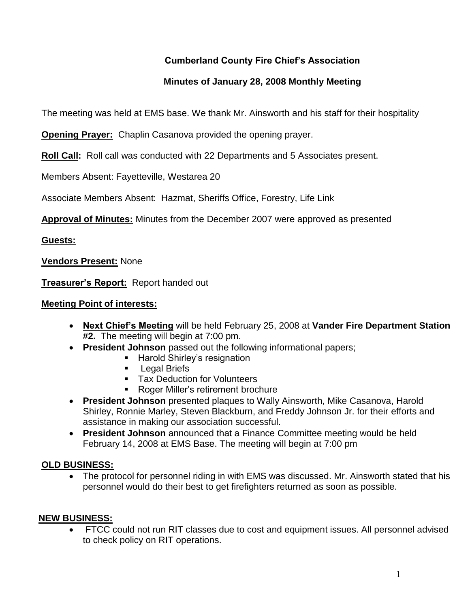# **Cumberland County Fire Chief's Association**

# **Minutes of January 28, 2008 Monthly Meeting**

The meeting was held at EMS base. We thank Mr. Ainsworth and his staff for their hospitality

**Opening Prayer:** Chaplin Casanova provided the opening prayer.

**Roll Call:** Roll call was conducted with 22 Departments and 5 Associates present.

Members Absent: Fayetteville, Westarea 20

Associate Members Absent: Hazmat, Sheriffs Office, Forestry, Life Link

**Approval of Minutes:** Minutes from the December 2007 were approved as presented

## **Guests:**

**Vendors Present:** None

**Treasurer's Report:** Report handed out

## **Meeting Point of interests:**

- **Next Chief's Meeting** will be held February 25, 2008 at **Vander Fire Department Station #2.** The meeting will begin at 7:00 pm.
- **President Johnson** passed out the following informational papers;
	- **Harold Shirley's resignation**
	- **Legal Briefs**
	- **Tax Deduction for Volunteers**
	- **Roger Miller's retirement brochure**
- **President Johnson** presented plaques to Wally Ainsworth, Mike Casanova, Harold Shirley, Ronnie Marley, Steven Blackburn, and Freddy Johnson Jr. for their efforts and assistance in making our association successful.
- **President Johnson** announced that a Finance Committee meeting would be held February 14, 2008 at EMS Base. The meeting will begin at 7:00 pm

## **OLD BUSINESS:**

 The protocol for personnel riding in with EMS was discussed. Mr. Ainsworth stated that his personnel would do their best to get firefighters returned as soon as possible.

## **NEW BUSINESS:**

 FTCC could not run RIT classes due to cost and equipment issues. All personnel advised to check policy on RIT operations.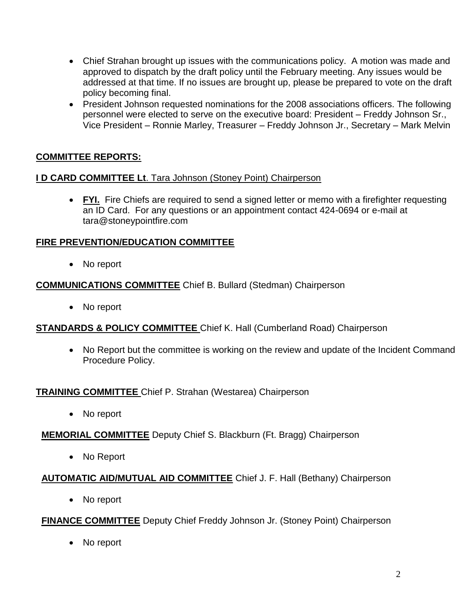- Chief Strahan brought up issues with the communications policy. A motion was made and approved to dispatch by the draft policy until the February meeting. Any issues would be addressed at that time. If no issues are brought up, please be prepared to vote on the draft policy becoming final.
- President Johnson requested nominations for the 2008 associations officers. The following personnel were elected to serve on the executive board: President – Freddy Johnson Sr., Vice President – Ronnie Marley, Treasurer – Freddy Johnson Jr., Secretary – Mark Melvin

# **COMMITTEE REPORTS:**

### **I D CARD COMMITTEE Lt**. Tara Johnson (Stoney Point) Chairperson

 **FYI.** Fire Chiefs are required to send a signed letter or memo with a firefighter requesting an ID Card. For any questions or an appointment contact 424-0694 or e-mail at [tara@stoneypointfire.com](mailto:tara@stoneypointfire.com)

### **FIRE PREVENTION/EDUCATION COMMITTEE**

• No report

### **COMMUNICATIONS COMMITTEE** Chief B. Bullard (Stedman) Chairperson

• No report

## **STANDARDS & POLICY COMMITTEE** Chief K. Hall (Cumberland Road) Chairperson

• No Report but the committee is working on the review and update of the Incident Command Procedure Policy.

#### **TRAINING COMMITTEE** Chief P. Strahan (Westarea) Chairperson

• No report

## **MEMORIAL COMMITTEE** Deputy Chief S. Blackburn (Ft. Bragg) Chairperson

• No Report

## **AUTOMATIC AID/MUTUAL AID COMMITTEE** Chief J. F. Hall (Bethany) Chairperson

• No report

## **FINANCE COMMITTEE** Deputy Chief Freddy Johnson Jr. (Stoney Point) Chairperson

• No report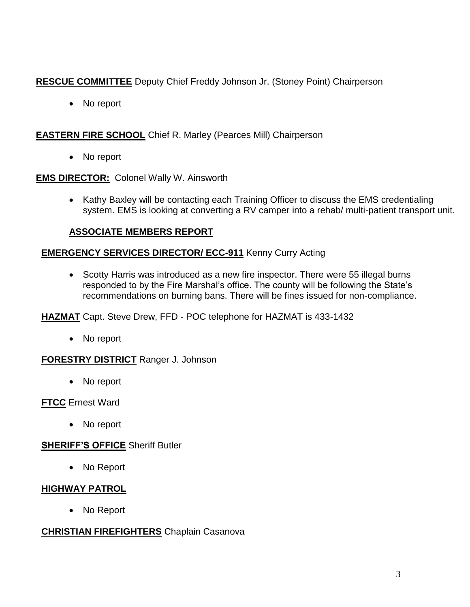# **RESCUE COMMITTEE** Deputy Chief Freddy Johnson Jr. (Stoney Point) Chairperson

• No report

## **EASTERN FIRE SCHOOL** Chief R. Marley (Pearces Mill) Chairperson

• No report

## **EMS DIRECTOR:** Colonel Wally W. Ainsworth

• Kathy Baxley will be contacting each Training Officer to discuss the EMS credentialing system. EMS is looking at converting a RV camper into a rehab/ multi-patient transport unit.

# **ASSOCIATE MEMBERS REPORT**

## **EMERGENCY SERVICES DIRECTOR/ ECC-911** Kenny Curry Acting

• Scotty Harris was introduced as a new fire inspector. There were 55 illegal burns responded to by the Fire Marshal's office. The county will be following the State's recommendations on burning bans. There will be fines issued for non-compliance.

## **HAZMAT** Capt. Steve Drew, FFD - POC telephone for HAZMAT is 433-1432

• No report

## **FORESTRY DISTRICT** Ranger J. Johnson

• No report

## **FTCC** Ernest Ward

• No report

# **SHERIFF'S OFFICE** Sheriff Butler

• No Report

# **HIGHWAY PATROL**

No Report

## **CHRISTIAN FIREFIGHTERS** Chaplain Casanova